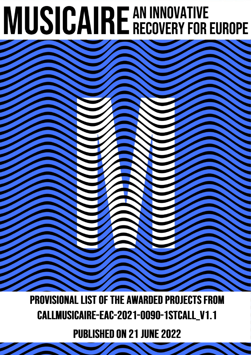## **MUSICAIRE AN INNOVATIVE RECOVERY FOR EUROPE**

**PROVISIONAL LIST OF THE AWARDED PROJECTS FROM** CALLMUSICAIRE-EAC-2021-0090-1STCALL\_V1.1

**PUBLISHED ON 21 JUNE 2022**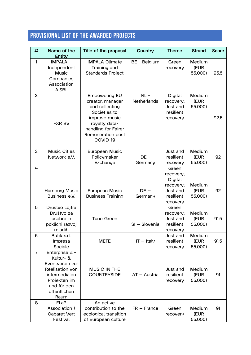## **PROVISIONAL LIST OF THE AWARDED PROJECTS**

| #              | Name of the<br><b>Entity</b>                                                                                                              | Title of the proposal                                                                                                                                                | Country               | <b>Theme</b>                                                                           | <b>Strand</b>             | <b>Score</b> |
|----------------|-------------------------------------------------------------------------------------------------------------------------------------------|----------------------------------------------------------------------------------------------------------------------------------------------------------------------|-----------------------|----------------------------------------------------------------------------------------|---------------------------|--------------|
| $\mathbf{1}$   | IMPALA -<br>Independent<br><b>Music</b><br>Companies<br>Association<br><b>AISBL</b>                                                       | <b>IMPALA Climate</b><br>Training and<br><b>Standards Project</b>                                                                                                    | BE - Belgium          | Green<br>recovery                                                                      | Medium<br>(EUR<br>55.000) | 95.5         |
| $\overline{2}$ | <b>FXR BV</b>                                                                                                                             | <b>Empowering EU</b><br>creator, manager<br>and collecting<br>Societies to<br>improve music<br>royalty data-<br>handling for Fairer<br>Remuneration post<br>COVID-19 | $NL -$<br>Netherlands | <b>Digital</b><br>recovery;<br>Just and<br>resilient<br>recovery                       | Medium<br>(EUR<br>55.000) | 92.5         |
| 3              | <b>Music Cities</b><br>Network e.V.                                                                                                       | European Music<br>Policymaker<br>Exchange                                                                                                                            | DE-<br>Germany        | Just and<br>resilient<br>recovery                                                      | Medium<br>(EUR<br>55.000) | 92           |
| 4              | Hamburg Music<br>Business e.V.                                                                                                            | European Music<br><b>Business Training</b>                                                                                                                           | $DE -$<br>Germany     | Green<br>recovery;<br><b>Digital</b><br>recovery;<br>Just and<br>resilient<br>recovery | Medium<br>(EUR<br>55.000) | 92           |
| 5              | Društvo Lojtra<br>Društvo za<br>osebni in<br>poklicni razvoj<br>mladih                                                                    | Tune Green                                                                                                                                                           | SI - Slovenia         | Green<br>recovery;<br>Just and<br>resilient<br>recovery                                | Medium<br>(EUR<br>55.000) | 91.5         |
| 6              | Butik s.r.l.<br>Impresa<br>Sociale                                                                                                        | <b>METE</b>                                                                                                                                                          | $IT - Italy$          | Just and<br>resilient<br>recovery                                                      | Medium<br>(EUR<br>55.000) | 91.5         |
| $\overline{7}$ | Enterprise Z -<br>Kultur- &<br>Eventverein zur<br>Realisation von<br>intermedialen<br>Projekten im<br>und für den<br>öffentlichen<br>Raum | <b>MUSIC IN THE</b><br><b>COUNTRYSIDE</b>                                                                                                                            | $AT - Austria$        | Just and<br>resilient<br>recovery                                                      | Medium<br>(EUR<br>55.000) | 91           |
| 8              | <b>FLaP</b><br>Association /<br><b>Cabaret Vert</b><br>Festival                                                                           | An active<br>contribution to the<br>ecological transition<br>of European culture                                                                                     | $FR - France$         | Green<br>recovery                                                                      | Medium<br>(EUR<br>55.000) | 91           |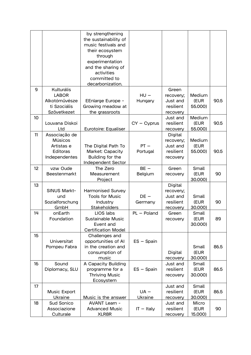|    |                                                                                   | by strengthening<br>the sustainability of<br>music festivals and<br>their ecosystem<br>through<br>experimentation<br>and the sharing of<br>activities<br>committed to<br>decarbonization. |                          |                                                                  |                           |      |
|----|-----------------------------------------------------------------------------------|-------------------------------------------------------------------------------------------------------------------------------------------------------------------------------------------|--------------------------|------------------------------------------------------------------|---------------------------|------|
| 9  | <b>Kulturális</b><br><b>LABOR</b><br>Alkotóművésze<br>ti Szociális<br>Szövetkezet | EEnlarge Europe -<br>Growing meadow at<br>the grassroots                                                                                                                                  | $HU -$<br>Hungary        | Green<br>recovery;<br>Just and<br>resilient<br>recovery          | Medium<br>(EUR<br>55.000) | 90.5 |
| 10 | Louvana Diskoi<br>Ltd                                                             | Eurotoire: Equaliser                                                                                                                                                                      | $CY - Cyprus$            | Just and<br>resilient<br>recovery                                | Medium<br>(EUR<br>55.000) | 90.5 |
| 11 | Associação de<br><b>Músicos</b><br>Artistas e<br>Editoras<br>Independentes        | The Digital Path To<br><b>Market: Capacity</b><br>Building for the<br><b>Independent Sector</b>                                                                                           | $PT -$<br>Portugal       | <b>Digital</b><br>recovery;<br>Just and<br>resilient<br>recovery | Medium<br>(EUR<br>55.000) | 90.5 |
| 12 | vzw Oude<br><b>Beestenmarkt</b>                                                   | The Zero<br>Measurement<br>Project                                                                                                                                                        | $BE -$<br>Belgium        | Green<br>recovery                                                | Small<br>(EUR<br>30.000)  | 90   |
| 13 | SINUS Markt-<br>und<br>Sozialforschung<br>GmbH                                    | Harmonised Survey<br><b>Tools for Music</b><br>Industry<br>Stakeholders                                                                                                                   | $DE -$<br>Germany        | <b>Digital</b><br>recovery;<br>Just and<br>resilient<br>recovery | Small<br>(EUR<br>30.000)  | 90   |
| 14 | onEarth<br>Foundation                                                             | LIOS labs<br>Sustainable Music<br>Event and<br><b>Certification Model</b>                                                                                                                 | $PL - Poland$            | Green<br>recovery                                                | Small<br>(EUR<br>30.000)  | 89   |
| 15 | Universitat<br>Pompeu Fabra                                                       | Challenges and<br>opportunities of AI<br>in the creation and<br>consumption of<br>music                                                                                                   | $ES - Spain$             | <b>Digital</b><br>recovery                                       | Small<br>(EUR<br>30.000)  | 86.5 |
| 16 | Sound<br>Diplomacy, SLU                                                           | A Capacity Building<br>programme for a<br><b>Thriving Music</b><br>Ecosystem                                                                                                              | $ES - Spain$             | Just and<br>resilient<br>recovery                                | Small<br>(EUR<br>30.000)  | 86.5 |
| 17 | <b>Music Export</b><br>Ukraine                                                    | Music is the answer                                                                                                                                                                       | $UA -$<br><b>Ukraine</b> | Just and<br>resilient<br>recovery                                | Small<br>(EUR<br>30.000)  | 86.5 |
| 18 | Sud Sonico<br>Associazione<br>Culturale                                           | <b>AVANT Learn -</b><br><b>Advanced Music</b><br><b>XLR8R</b>                                                                                                                             | $IT - Italy$             | Just and<br>resilient<br>recovery                                | Micro<br>(EUR<br>15.000)  | 90   |